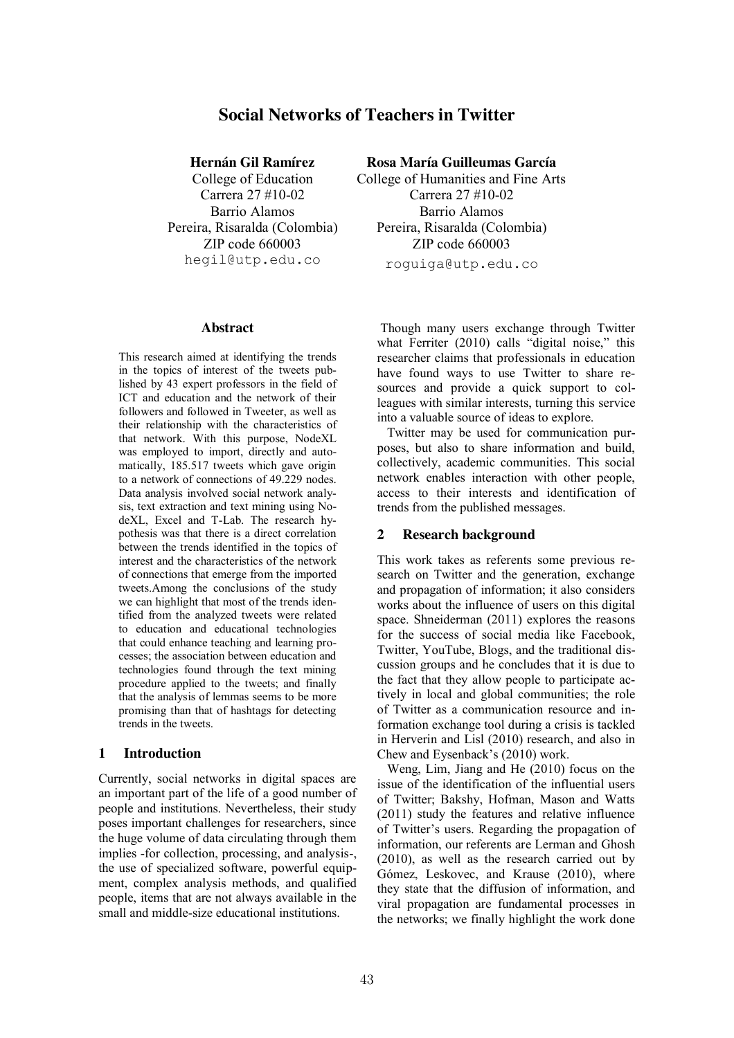# **Social Networks of Teachers in Twitter**

#### **Hernán Gil Ramírez**

College of Education Carrera 27 #10-02 Barrio Alamos Pereira, Risaralda (Colombia) ZIP code 660003 hegil@utp.edu.co

#### **Abstract**

This research aimed at identifying the trends in the topics of interest of the tweets published by 43 expert professors in the field of ICT and education and the network of their followers and followed in Tweeter, as well as their relationship with the characteristics of that network. With this purpose, NodeXL was employed to import, directly and automatically, 185.517 tweets which gave origin to a network of connections of 49.229 nodes. Data analysis involved social network analysis, text extraction and text mining using NodeXL, Excel and T-Lab. The research hypothesis was that there is a direct correlation between the trends identified in the topics of interest and the characteristics of the network of connections that emerge from the imported tweets.Among the conclusions of the study we can highlight that most of the trends identified from the analyzed tweets were related to education and educational technologies that could enhance teaching and learning processes; the association between education and technologies found through the text mining procedure applied to the tweets; and finally that the analysis of lemmas seems to be more promising than that of hashtags for detecting trends in the tweets.

### **1 Introduction**

Currently, social networks in digital spaces are an important part of the life of a good number of people and institutions. Nevertheless, their study poses important challenges for researchers, since the huge volume of data circulating through them implies -for collection, processing, and analysis-, the use of specialized software, powerful equipment, complex analysis methods, and qualified people, items that are not always available in the small and middle-size educational institutions.

#### **Rosa María Guilleumas García**

College of Humanities and Fine Arts Carrera 27 #10-02 Barrio Alamos Pereira, Risaralda (Colombia) ZIP code 660003 roguiga@utp.edu.co

Though many users exchange through Twitter what Ferriter (2010) calls "digital noise," this researcher claims that professionals in education have found ways to use Twitter to share resources and provide a quick support to colleagues with similar interests, turning this service into a valuable source of ideas to explore.

 Twitter may be used for communication purposes, but also to share information and build, collectively, academic communities. This social network enables interaction with other people, access to their interests and identification of trends from the published messages.

#### **2 Research background**

This work takes as referents some previous research on Twitter and the generation, exchange and propagation of information; it also considers works about the influence of users on this digital space. Shneiderman (2011) explores the reasons for the success of social media like Facebook, Twitter, YouTube, Blogs, and the traditional discussion groups and he concludes that it is due to the fact that they allow people to participate actively in local and global communities; the role of Twitter as a communication resource and information exchange tool during a crisis is tackled in Herverin and Lisl (2010) research, and also in Chew and Eysenback's (2010) work.

 Weng, Lim, Jiang and He (2010) focus on the issue of the identification of the influential users of Twitter; Bakshy, Hofman, Mason and Watts (2011) study the features and relative influence of Twitter's users. Regarding the propagation of information, our referents are Lerman and Ghosh (2010), as well as the research carried out by Gómez, Leskovec, and Krause (2010), where they state that the diffusion of information, and viral propagation are fundamental processes in the networks; we finally highlight the work done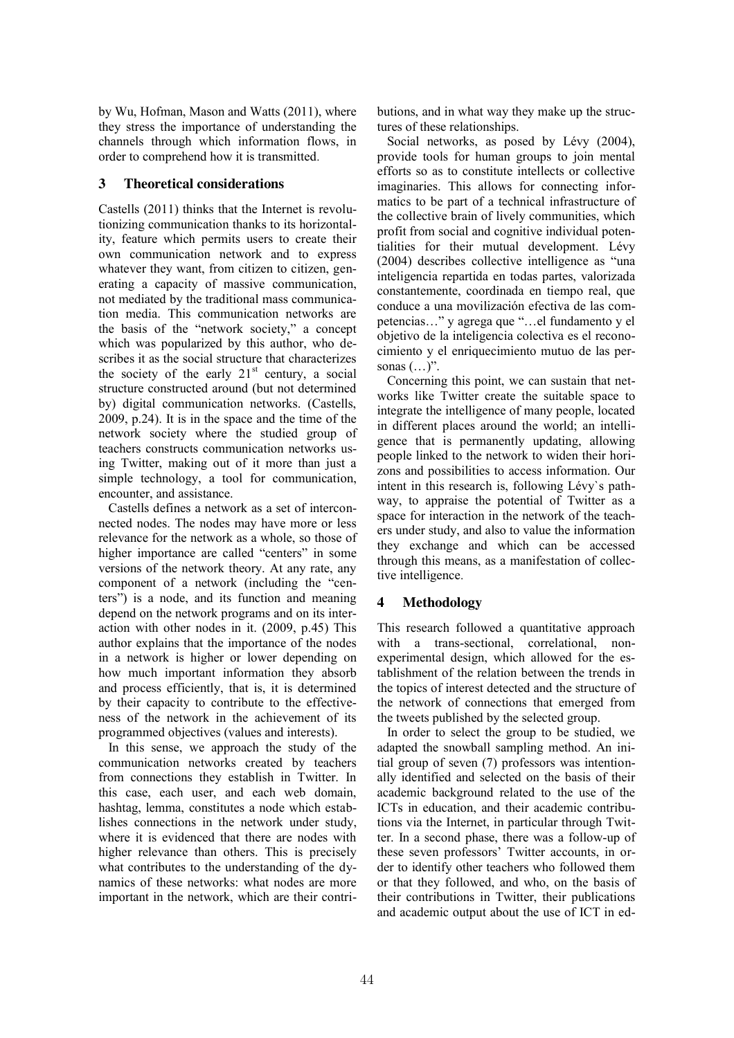by Wu, Hofman, Mason and Watts (2011), where they stress the importance of understanding the channels through which information flows, in order to comprehend how it is transmitted.

# **3 Theoretical considerations**

Castells (2011) thinks that the Internet is revolutionizing communication thanks to its horizontality, feature which permits users to create their own communication network and to express whatever they want, from citizen to citizen, generating a capacity of massive communication, not mediated by the traditional mass communication media. This communication networks are the basis of the "network society," a concept which was popularized by this author, who describes it as the social structure that characterizes the society of the early  $21<sup>st</sup>$  century, a social structure constructed around (but not determined by) digital communication networks. (Castells, 2009, p.24). It is in the space and the time of the network society where the studied group of teachers constructs communication networks using Twitter, making out of it more than just a simple technology, a tool for communication, encounter, and assistance.

 Castells defines a network as a set of interconnected nodes. The nodes may have more or less relevance for the network as a whole, so those of higher importance are called "centers" in some versions of the network theory. At any rate, any component of a network (including the "centers") is a node, and its function and meaning depend on the network programs and on its interaction with other nodes in it. (2009, p.45) This author explains that the importance of the nodes in a network is higher or lower depending on how much important information they absorb and process efficiently, that is, it is determined by their capacity to contribute to the effectiveness of the network in the achievement of its programmed objectives (values and interests).

 In this sense, we approach the study of the communication networks created by teachers from connections they establish in Twitter. In this case, each user, and each web domain, hashtag, lemma, constitutes a node which establishes connections in the network under study, where it is evidenced that there are nodes with higher relevance than others. This is precisely what contributes to the understanding of the dynamics of these networks: what nodes are more important in the network, which are their contributions, and in what way they make up the structures of these relationships.

Social networks, as posed by Lévy  $(2004)$ , provide tools for human groups to join mental efforts so as to constitute intellects or collective imaginaries. This allows for connecting informatics to be part of a technical infrastructure of the collective brain of lively communities, which profit from social and cognitive individual potentialities for their mutual development. Lévy (2004) describes collective intelligence as "una inteligencia repartida en todas partes, valorizada constantemente, coordinada en tiempo real, que conduce a una movilización efectiva de las competencias…" y agrega que "…el fundamento y el objetivo de la inteligencia colectiva es el reconocimiento y el enriquecimiento mutuo de las personas  $(\ldots)$ ".

 Concerning this point, we can sustain that networks like Twitter create the suitable space to integrate the intelligence of many people, located in different places around the world; an intelligence that is permanently updating, allowing people linked to the network to widen their horizons and possibilities to access information. Our intent in this research is, following Lévy`s pathway, to appraise the potential of Twitter as a space for interaction in the network of the teachers under study, and also to value the information they exchange and which can be accessed through this means, as a manifestation of collective intelligence.

# **4 Methodology**

This research followed a quantitative approach with a trans-sectional, correlational, nonexperimental design, which allowed for the establishment of the relation between the trends in the topics of interest detected and the structure of the network of connections that emerged from the tweets published by the selected group.

 In order to select the group to be studied, we adapted the snowball sampling method. An initial group of seven (7) professors was intentionally identified and selected on the basis of their academic background related to the use of the ICTs in education, and their academic contributions via the Internet, in particular through Twitter. In a second phase, there was a follow-up of these seven professors' Twitter accounts, in order to identify other teachers who followed them or that they followed, and who, on the basis of their contributions in Twitter, their publications and academic output about the use of ICT in ed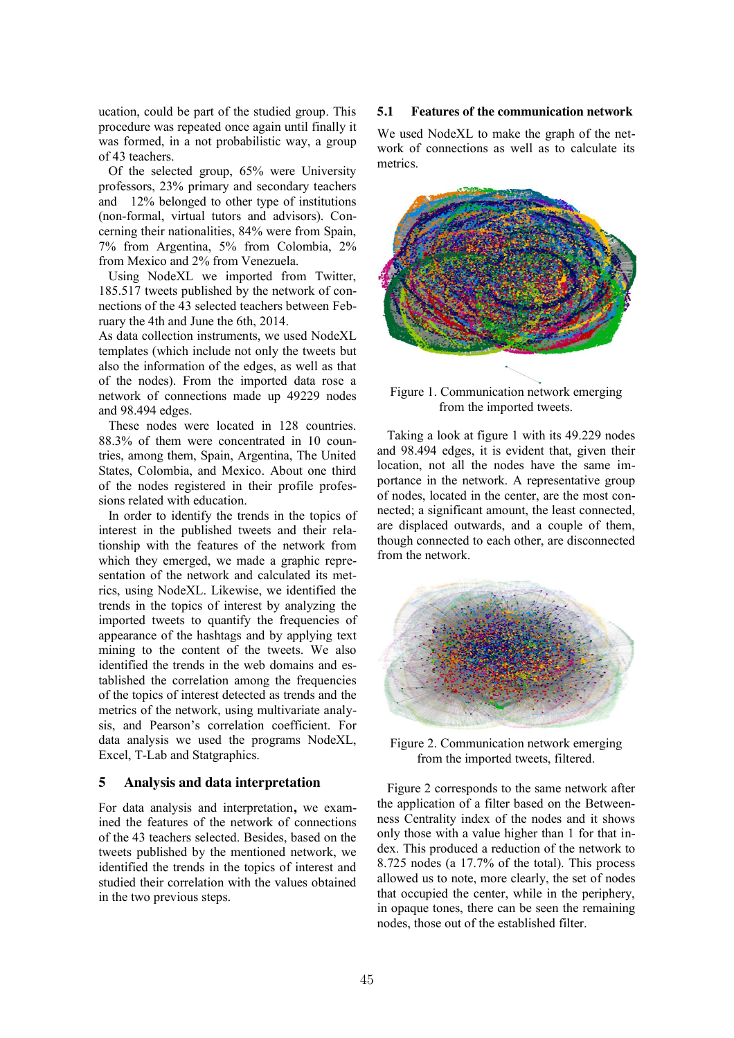ucation, could be part of the studied group. This procedure was repeated once again until finally it was formed, in a not probabilistic way, a group of 43 teachers.

 Of the selected group, 65% were University professors, 23% primary and secondary teachers and 12% belonged to other type of institutions (non-formal, virtual tutors and advisors). Concerning their nationalities, 84% were from Spain, 7% from Argentina, 5% from Colombia, 2% from Mexico and 2% from Venezuela.

 Using NodeXL we imported from Twitter, 185.517 tweets published by the network of connections of the 43 selected teachers between February the 4th and June the 6th, 2014.

As data collection instruments, we used NodeXL templates (which include not only the tweets but also the information of the edges, as well as that of the nodes). From the imported data rose a network of connections made up 49229 nodes and 98.494 edges.

 These nodes were located in 128 countries. 88.3% of them were concentrated in 10 countries, among them, Spain, Argentina, The United States, Colombia, and Mexico. About one third of the nodes registered in their profile professions related with education.

 In order to identify the trends in the topics of interest in the published tweets and their relationship with the features of the network from which they emerged, we made a graphic representation of the network and calculated its metrics, using NodeXL. Likewise, we identified the trends in the topics of interest by analyzing the imported tweets to quantify the frequencies of appearance of the hashtags and by applying text mining to the content of the tweets. We also identified the trends in the web domains and established the correlation among the frequencies of the topics of interest detected as trends and the metrics of the network, using multivariate analysis, and Pearson's correlation coefficient. For data analysis we used the programs NodeXL, Excel, T-Lab and Statgraphics.

#### **5 Analysis and data interpretation**

For data analysis and interpretation**,** we examined the features of the network of connections of the 43 teachers selected. Besides, based on the tweets published by the mentioned network, we identified the trends in the topics of interest and studied their correlation with the values obtained in the two previous steps.

### **5.1 Features of the communication network**

We used NodeXL to make the graph of the network of connections as well as to calculate its metrics.



Figure 1. Communication network emerging from the imported tweets.

 Taking a look at figure 1 with its 49.229 nodes and 98.494 edges, it is evident that, given their location, not all the nodes have the same importance in the network. A representative group of nodes, located in the center, are the most connected; a significant amount, the least connected, are displaced outwards, and a couple of them, though connected to each other, are disconnected from the network.



Figure 2. Communication network emerging from the imported tweets, filtered.

 Figure 2 corresponds to the same network after the application of a filter based on the Betweenness Centrality index of the nodes and it shows only those with a value higher than 1 for that index. This produced a reduction of the network to 8.725 nodes (a 17.7% of the total). This process allowed us to note, more clearly, the set of nodes that occupied the center, while in the periphery, in opaque tones, there can be seen the remaining nodes, those out of the established filter.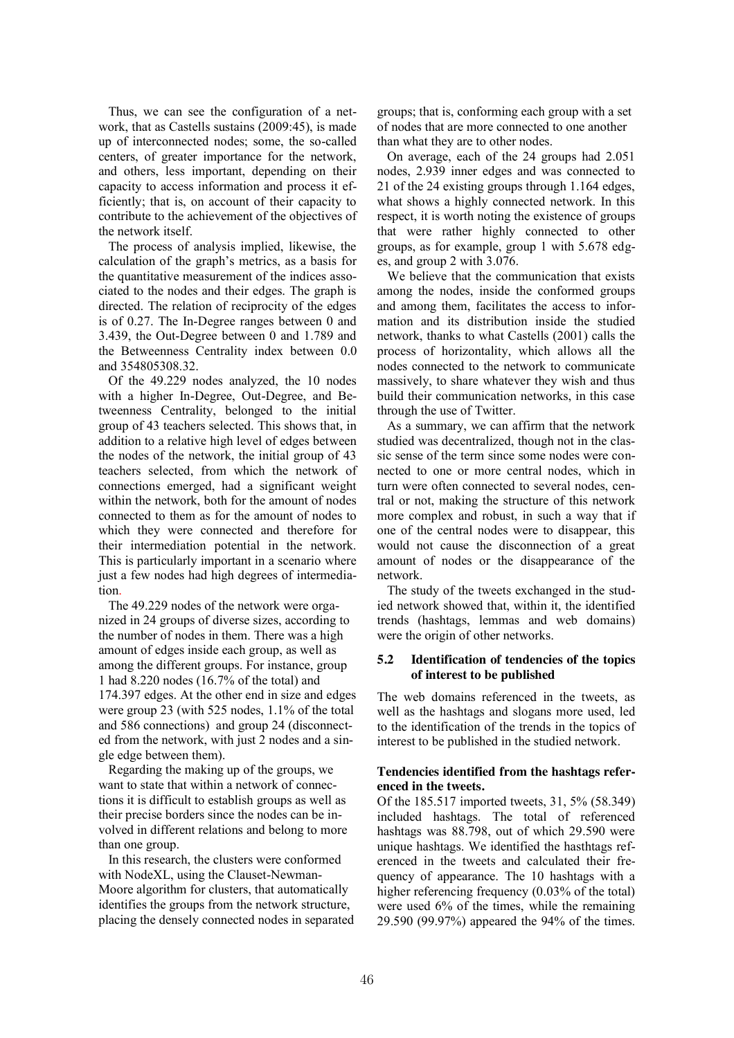Thus, we can see the configuration of a network, that as Castells sustains (2009:45), is made up of interconnected nodes; some, the so-called centers, of greater importance for the network, and others, less important, depending on their capacity to access information and process it efficiently; that is, on account of their capacity to contribute to the achievement of the objectives of the network itself.

 The process of analysis implied, likewise, the calculation of the graph's metrics, as a basis for the quantitative measurement of the indices associated to the nodes and their edges. The graph is directed. The relation of reciprocity of the edges is of 0.27. The In-Degree ranges between 0 and 3.439, the Out-Degree between 0 and 1.789 and the Betweenness Centrality index between 0.0 and 354805308.32.

 Of the 49.229 nodes analyzed, the 10 nodes with a higher In-Degree, Out-Degree, and Betweenness Centrality, belonged to the initial group of 43 teachers selected. This shows that, in addition to a relative high level of edges between the nodes of the network, the initial group of 43 teachers selected, from which the network of connections emerged, had a significant weight within the network, both for the amount of nodes connected to them as for the amount of nodes to which they were connected and therefore for their intermediation potential in the network. This is particularly important in a scenario where just a few nodes had high degrees of intermediation.

 The 49.229 nodes of the network were organized in 24 groups of diverse sizes, according to the number of nodes in them. There was a high amount of edges inside each group, as well as among the different groups. For instance, group 1 had 8.220 nodes (16.7% of the total) and 174.397 edges. At the other end in size and edges were group 23 (with 525 nodes, 1.1% of the total and 586 connections) and group 24 (disconnected from the network, with just 2 nodes and a single edge between them).

 Regarding the making up of the groups, we want to state that within a network of connections it is difficult to establish groups as well as their precise borders since the nodes can be involved in different relations and belong to more than one group.

 In this research, the clusters were conformed with NodeXL, using the Clauset-Newman-Moore algorithm for clusters, that automatically identifies the groups from the network structure, placing the densely connected nodes in separated groups; that is, conforming each group with a set of nodes that are more connected to one another than what they are to other nodes.

 On average, each of the 24 groups had 2.051 nodes, 2.939 inner edges and was connected to 21 of the 24 existing groups through 1.164 edges, what shows a highly connected network. In this respect, it is worth noting the existence of groups that were rather highly connected to other groups, as for example, group 1 with 5.678 edges, and group 2 with 3.076.

 We believe that the communication that exists among the nodes, inside the conformed groups and among them, facilitates the access to information and its distribution inside the studied network, thanks to what Castells (2001) calls the process of horizontality, which allows all the nodes connected to the network to communicate massively, to share whatever they wish and thus build their communication networks, in this case through the use of Twitter.

 As a summary, we can affirm that the network studied was decentralized, though not in the classic sense of the term since some nodes were connected to one or more central nodes, which in turn were often connected to several nodes, central or not, making the structure of this network more complex and robust, in such a way that if one of the central nodes were to disappear, this would not cause the disconnection of a great amount of nodes or the disappearance of the network.

 The study of the tweets exchanged in the studied network showed that, within it, the identified trends (hashtags, lemmas and web domains) were the origin of other networks.

#### **5.2 Identification of tendencies of the topics of interest to be published**

The web domains referenced in the tweets, as well as the hashtags and slogans more used, led to the identification of the trends in the topics of interest to be published in the studied network.

#### **Tendencies identified from the hashtags referenced in the tweets.**

Of the 185.517 imported tweets, 31, 5% (58.349) included hashtags. The total of referenced hashtags was 88.798, out of which 29.590 were unique hashtags. We identified the hasthtags referenced in the tweets and calculated their frequency of appearance. The 10 hashtags with a higher referencing frequency (0.03% of the total) were used 6% of the times, while the remaining 29.590 (99.97%) appeared the 94% of the times.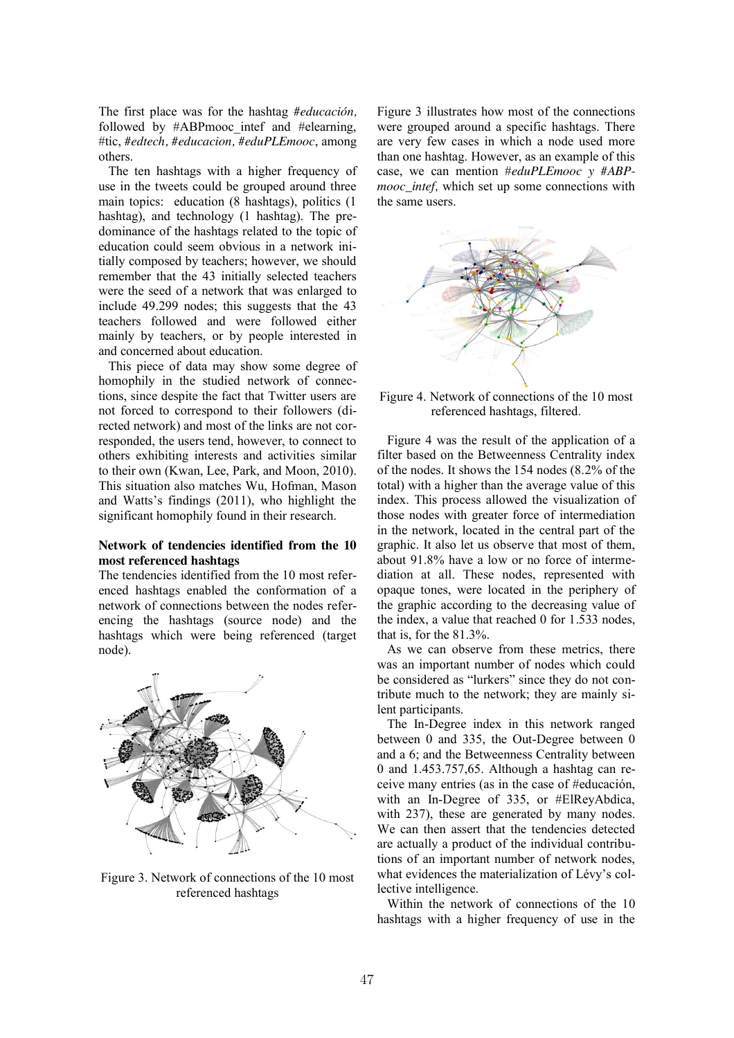The first place was for the hashtag *#educación,*  followed by #ABPmooc\_intef and #elearning, #tic, *#edtech, #educacion, #eduPLEmooc*, among others.

 The ten hashtags with a higher frequency of use in the tweets could be grouped around three main topics: education (8 hashtags), politics (1 hashtag), and technology (1 hashtag). The predominance of the hashtags related to the topic of education could seem obvious in a network initially composed by teachers; however, we should remember that the 43 initially selected teachers were the seed of a network that was enlarged to include 49.299 nodes; this suggests that the 43 teachers followed and were followed either mainly by teachers, or by people interested in and concerned about education.

 This piece of data may show some degree of homophily in the studied network of connections, since despite the fact that Twitter users are not forced to correspond to their followers (directed network) and most of the links are not corresponded, the users tend, however, to connect to others exhibiting interests and activities similar to their own (Kwan, Lee, Park, and Moon, 2010). This situation also matches Wu, Hofman, Mason and Watts's findings (2011), who highlight the significant homophily found in their research.

#### **Network of tendencies identified from the 10 most referenced hashtags**

The tendencies identified from the 10 most referenced hashtags enabled the conformation of a network of connections between the nodes referencing the hashtags (source node) and the hashtags which were being referenced (target node).



Figure 3. Network of connections of the 10 most referenced hashtags

Figure 3 illustrates how most of the connections were grouped around a specific hashtags. There are very few cases in which a node used more than one hashtag. However, as an example of this case, we can mention #*eduPLEmooc y #ABPmooc\_intef,* which set up some connections with the same users.



Figure 4. Network of connections of the 10 most referenced hashtags, filtered.

 Figure 4 was the result of the application of a filter based on the Betweenness Centrality index of the nodes. It shows the 154 nodes (8.2% of the total) with a higher than the average value of this index. This process allowed the visualization of those nodes with greater force of intermediation in the network, located in the central part of the graphic. It also let us observe that most of them, about 91.8% have a low or no force of intermediation at all. These nodes, represented with opaque tones, were located in the periphery of the graphic according to the decreasing value of the index, a value that reached 0 for 1.533 nodes, that is, for the 81.3%.

 As we can observe from these metrics, there was an important number of nodes which could be considered as "lurkers" since they do not contribute much to the network; they are mainly silent participants.

 The In-Degree index in this network ranged between 0 and 335, the Out-Degree between 0 and a 6; and the Betweenness Centrality between 0 and 1.453.757,65. Although a hashtag can receive many entries (as in the case of #educación, with an In-Degree of 335, or #ElReyAbdica, with 237), these are generated by many nodes. We can then assert that the tendencies detected are actually a product of the individual contributions of an important number of network nodes, what evidences the materialization of Lévy's collective intelligence.

 Within the network of connections of the 10 hashtags with a higher frequency of use in the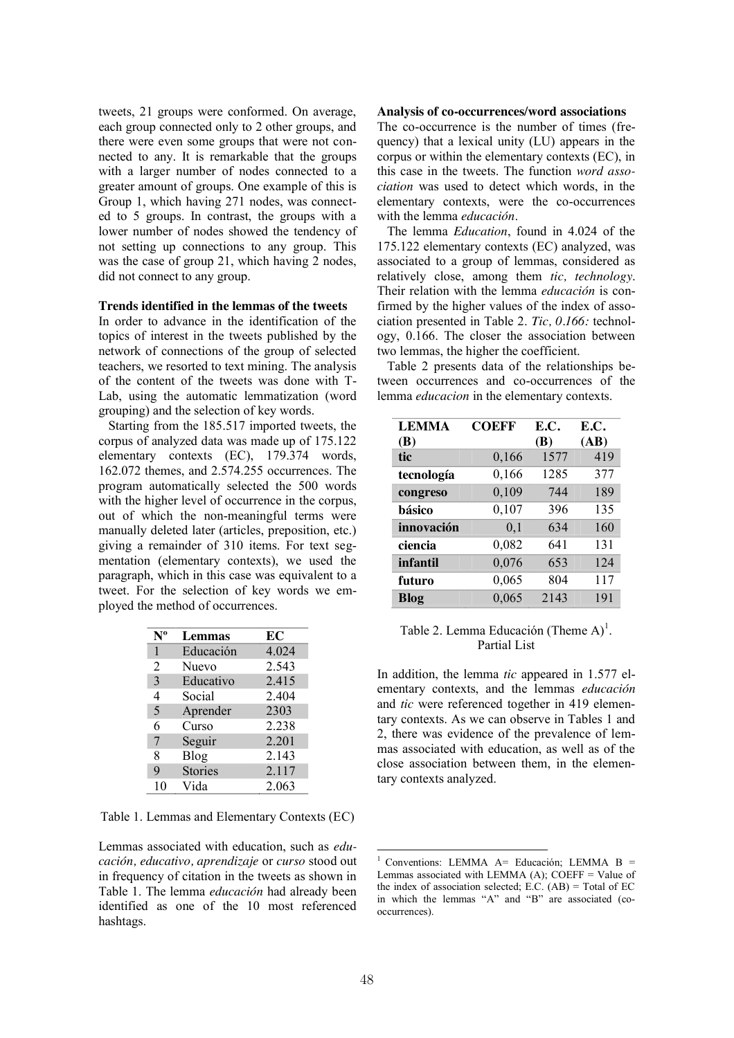tweets, 21 groups were conformed. On average, each group connected only to 2 other groups, and there were even some groups that were not connected to any. It is remarkable that the groups with a larger number of nodes connected to a greater amount of groups. One example of this is Group 1, which having 271 nodes, was connected to 5 groups. In contrast, the groups with a lower number of nodes showed the tendency of not setting up connections to any group. This was the case of group 21, which having 2 nodes, did not connect to any group.

# **Trends identified in the lemmas of the tweets**

In order to advance in the identification of the topics of interest in the tweets published by the network of connections of the group of selected teachers, we resorted to text mining. The analysis of the content of the tweets was done with T-Lab, using the automatic lemmatization (word grouping) and the selection of key words.

 Starting from the 185.517 imported tweets, the corpus of analyzed data was made up of 175.122 elementary contexts (EC), 179.374 words, 162.072 themes, and 2.574.255 occurrences. The program automatically selected the 500 words with the higher level of occurrence in the corpus, out of which the non-meaningful terms were manually deleted later (articles, preposition, etc.) giving a remainder of 310 items. For text segmentation (elementary contexts), we used the paragraph, which in this case was equivalent to a tweet. For the selection of key words we employed the method of occurrences.

| $N^{\mathrm{o}}$ | Lemmas         | EC    |
|------------------|----------------|-------|
| $\mathbf{1}$     | Educación      | 4.024 |
| 2                | Nuevo          | 2.543 |
| 3                | Educativo      | 2.415 |
| $\overline{4}$   | Social         | 2.404 |
| 5                | Aprender       | 2303  |
| 6                | Curso          | 2.238 |
| 7                | Seguir         | 2.201 |
| 8                | <b>Blog</b>    | 2.143 |
| 9                | <b>Stories</b> | 2.117 |
| 10               | Vida           | 2.063 |

Table 1. Lemmas and Elementary Contexts (EC)

Lemmas associated with education, such as *educación, educativo, aprendizaje* or *curso* stood out in frequency of citation in the tweets as shown in Table 1. The lemma *educación* had already been identified as one of the 10 most referenced hashtags.

#### **Analysis of co-occurrences/word associations**

The co-occurrence is the number of times (frequency) that a lexical unity (LU) appears in the corpus or within the elementary contexts (EC), in this case in the tweets. The function *word association* was used to detect which words, in the elementary contexts, were the co-occurrences with the lemma *educación*.

 The lemma *Education*, found in 4.024 of the 175.122 elementary contexts (EC) analyzed, was associated to a group of lemmas, considered as relatively close, among them *tic, technology*. Their relation with the lemma *educación* is confirmed by the higher values of the index of association presented in Table 2. *Tic, 0.166:* technology, 0.166. The closer the association between two lemmas, the higher the coefficient.

 Table 2 presents data of the relationships between occurrences and co-occurrences of the lemma *educacion* in the elementary contexts.

| <b>LEMMA</b> | <b>COEFF</b> | E.C. | E.C. |
|--------------|--------------|------|------|
| (B)          |              | (B)  | (AB) |
| tic          | 0,166        | 1577 | 419  |
| tecnología   | 0,166        | 1285 | 377  |
| congreso     | 0,109        | 744  | 189  |
| básico       | 0,107        | 396  | 135  |
| innovación   | 0,1          | 634  | 160  |
| ciencia      | 0,082        | 641  | 131  |
| infantil     | 0,076        | 653  | 124  |
| futuro       | 0,065        | 804  | 117  |
| <b>Blog</b>  | 0,065        | 2143 | 191  |

## Table 2. Lemma Educación (Theme A)<sup>1</sup>. Partial List

In addition, the lemma *tic* appeared in 1.577 elementary contexts, and the lemmas *educación* and *tic* were referenced together in 419 elementary contexts. As we can observe in Tables 1 and 2, there was evidence of the prevalence of lemmas associated with education, as well as of the close association between them, in the elementary contexts analyzed.

 $Conventions: LEMMA A= Education: LEMMA B =$ Lemmas associated with LEMMA (A); COEFF = Value of the index of association selected; E.C. (AB) = Total of EC in which the lemmas "A" and "B" are associated (cooccurrences).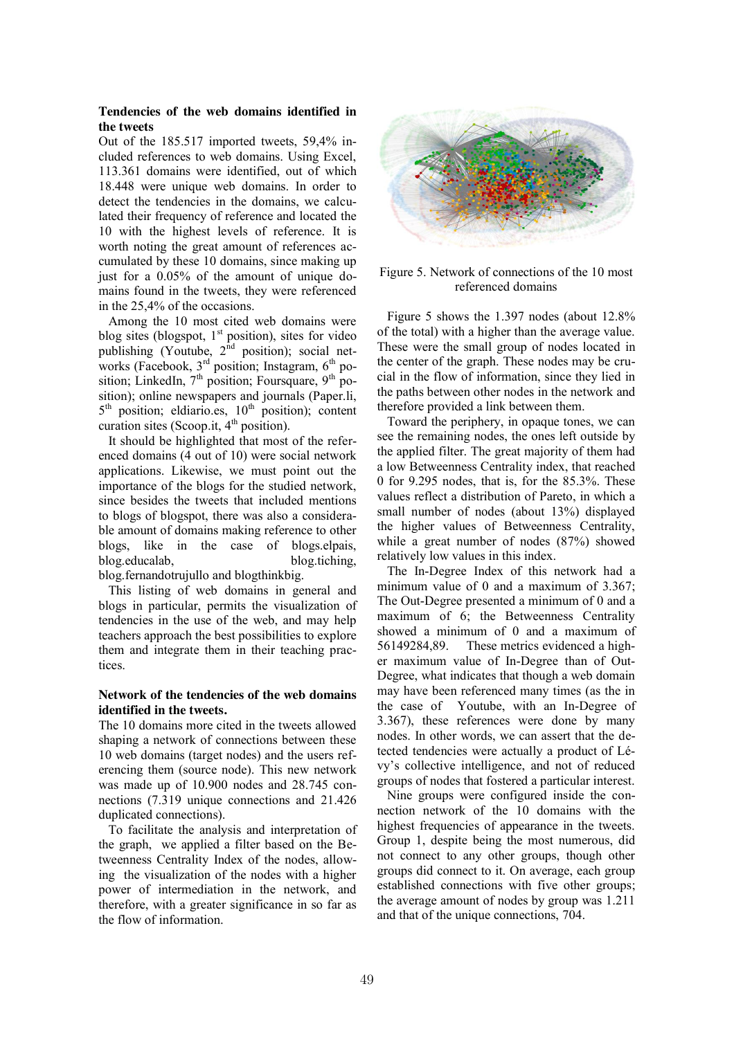#### **Tendencies of the web domains identified in the tweets**

Out of the 185.517 imported tweets, 59,4% included references to web domains. Using Excel, 113.361 domains were identified, out of which 18.448 were unique web domains. In order to detect the tendencies in the domains, we calculated their frequency of reference and located the 10 with the highest levels of reference. It is worth noting the great amount of references accumulated by these 10 domains, since making up just for a 0.05% of the amount of unique domains found in the tweets, they were referenced in the 25,4% of the occasions.

 Among the 10 most cited web domains were blog sites (blogspot,  $1<sup>st</sup>$  position), sites for video publishing (Youtube,  $2^{\text{nd}}$  position); social networks (Facebook,  $3<sup>rd</sup>$  position; Instagram,  $6<sup>th</sup>$  position; LinkedIn,  $7<sup>th</sup>$  position; Foursquare,  $9<sup>th</sup>$  position); online newspapers and journals (Paper.li,  $5<sup>th</sup>$  position; eldiario.es,  $10<sup>th</sup>$  position); content curation sites (Scoop.it,  $4<sup>th</sup>$  position).

 It should be highlighted that most of the referenced domains (4 out of 10) were social network applications. Likewise, we must point out the importance of the blogs for the studied network, since besides the tweets that included mentions to blogs of blogspot, there was also a considerable amount of domains making reference to other blogs, like in the case of blogs.elpais, blog.educalab, blog.tiching, blog.fernandotrujullo and blogthinkbig.

 This listing of web domains in general and blogs in particular, permits the visualization of tendencies in the use of the web, and may help teachers approach the best possibilities to explore them and integrate them in their teaching practices.

## **Network of the tendencies of the web domains identified in the tweets.**

The 10 domains more cited in the tweets allowed shaping a network of connections between these 10 web domains (target nodes) and the users referencing them (source node). This new network was made up of 10.900 nodes and 28.745 connections (7.319 unique connections and 21.426 duplicated connections).

 To facilitate the analysis and interpretation of the graph, we applied a filter based on the Betweenness Centrality Index of the nodes, allowing the visualization of the nodes with a higher power of intermediation in the network, and therefore, with a greater significance in so far as the flow of information.



Figure 5. Network of connections of the 10 most referenced domains

 Figure 5 shows the 1.397 nodes (about 12.8% of the total) with a higher than the average value. These were the small group of nodes located in the center of the graph. These nodes may be crucial in the flow of information, since they lied in the paths between other nodes in the network and therefore provided a link between them.

 Toward the periphery, in opaque tones, we can see the remaining nodes, the ones left outside by the applied filter. The great majority of them had a low Betweenness Centrality index, that reached 0 for 9.295 nodes, that is, for the 85.3%. These values reflect a distribution of Pareto, in which a small number of nodes (about 13%) displayed the higher values of Betweenness Centrality, while a great number of nodes (87%) showed relatively low values in this index.

 The In-Degree Index of this network had a minimum value of 0 and a maximum of 3.367; The Out-Degree presented a minimum of 0 and a maximum of 6; the Betweenness Centrality showed a minimum of 0 and a maximum of 56149284,89. These metrics evidenced a higher maximum value of In-Degree than of Out-Degree, what indicates that though a web domain may have been referenced many times (as the in the case of Youtube, with an In-Degree of 3.367), these references were done by many nodes. In other words, we can assert that the detected tendencies were actually a product of Lévy's collective intelligence, and not of reduced groups of nodes that fostered a particular interest.

 Nine groups were configured inside the connection network of the 10 domains with the highest frequencies of appearance in the tweets. Group 1, despite being the most numerous, did not connect to any other groups, though other groups did connect to it. On average, each group established connections with five other groups; the average amount of nodes by group was 1.211 and that of the unique connections, 704.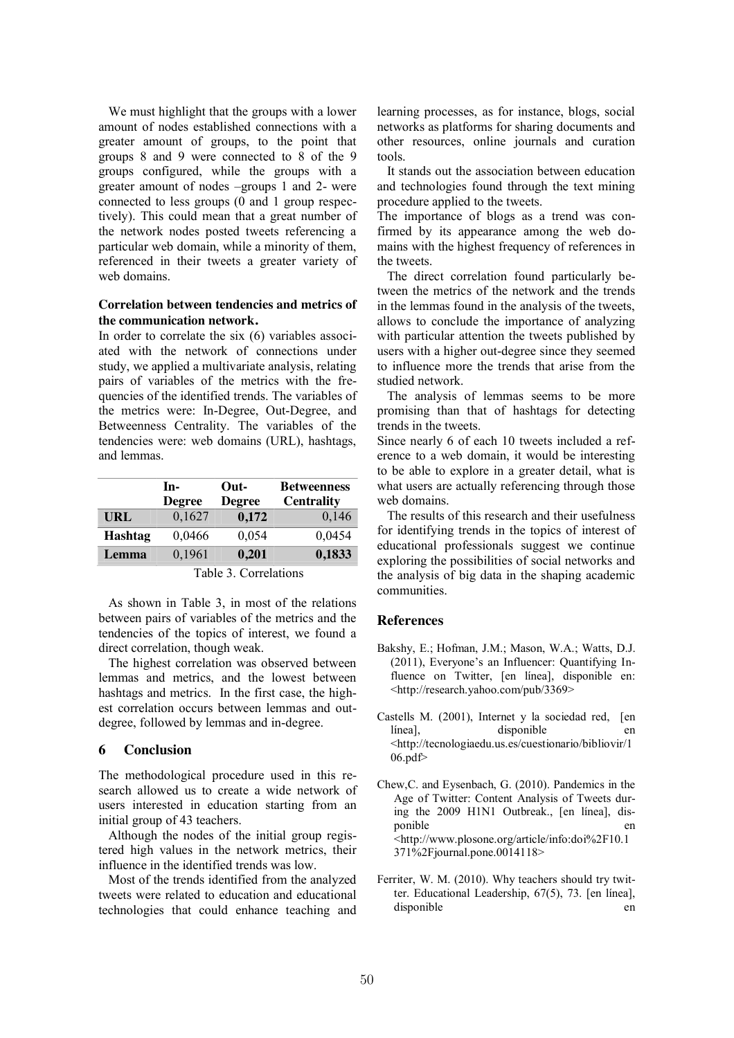We must highlight that the groups with a lower amount of nodes established connections with a greater amount of groups, to the point that groups 8 and 9 were connected to 8 of the 9 groups configured, while the groups with a greater amount of nodes –groups 1 and 2- were connected to less groups (0 and 1 group respectively). This could mean that a great number of the network nodes posted tweets referencing a particular web domain, while a minority of them, referenced in their tweets a greater variety of web domains.

### **Correlation between tendencies and metrics of the communication network.**

In order to correlate the six (6) variables associated with the network of connections under study, we applied a multivariate analysis, relating pairs of variables of the metrics with the frequencies of the identified trends. The variables of the metrics were: In-Degree, Out-Degree, and Betweenness Centrality. The variables of the tendencies were: web domains (URL), hashtags, and lemmas.

|         | In-           | Out-          | <b>Betweenness</b> |
|---------|---------------|---------------|--------------------|
|         | <b>Degree</b> | <b>Degree</b> | <b>Centrality</b>  |
| URL     | 0,1627        | 0,172         | 0,146              |
| Hashtag | 0,0466        | 0,054         | 0,0454             |
| Lemma   | 0,1961        | 0,201         | 0,1833             |

Table 3. Correlations

 As shown in Table 3, in most of the relations between pairs of variables of the metrics and the tendencies of the topics of interest, we found a direct correlation, though weak.

 The highest correlation was observed between lemmas and metrics, and the lowest between hashtags and metrics. In the first case, the highest correlation occurs between lemmas and outdegree, followed by lemmas and in-degree.

#### **6 Conclusion**

The methodological procedure used in this research allowed us to create a wide network of users interested in education starting from an initial group of 43 teachers.

 Although the nodes of the initial group registered high values in the network metrics, their influence in the identified trends was low.

 Most of the trends identified from the analyzed tweets were related to education and educational technologies that could enhance teaching and learning processes, as for instance, blogs, social networks as platforms for sharing documents and other resources, online journals and curation tools.

 It stands out the association between education and technologies found through the text mining procedure applied to the tweets.

The importance of blogs as a trend was confirmed by its appearance among the web domains with the highest frequency of references in the tweets.

 The direct correlation found particularly between the metrics of the network and the trends in the lemmas found in the analysis of the tweets, allows to conclude the importance of analyzing with particular attention the tweets published by users with a higher out-degree since they seemed to influence more the trends that arise from the studied network.

 The analysis of lemmas seems to be more promising than that of hashtags for detecting trends in the tweets.

Since nearly 6 of each 10 tweets included a reference to a web domain, it would be interesting to be able to explore in a greater detail, what is what users are actually referencing through those web domains.

 The results of this research and their usefulness for identifying trends in the topics of interest of educational professionals suggest we continue exploring the possibilities of social networks and the analysis of big data in the shaping academic communities.

#### **References**

- Bakshy, E.; Hofman, J.M.; Mason, W.A.; Watts, D.J. (2011), Everyone's an Influencer: Quantifying Influence on Twitter, [en línea], disponible en: <http://research.yahoo.com/pub/3369>
- Castells M. (2001), Internet y la sociedad red, [en línea], disponible en <http://tecnologiaedu.us.es/cuestionario/bibliovir/1  $06.$ pdf $>$
- Chew,C. and Eysenbach, G. (2010). Pandemics in the Age of Twitter: Content Analysis of Tweets during the 2009 H1N1 Outbreak., [en línea], disponible en en en de la ponible de la ponible de la ponible de la ponible de la ponible de la ponible de la ponible de la ponible de la ponible de la ponible de la ponible de la ponible de la ponible de la ponible de la pon <http://www.plosone.org/article/info:doi%2F10.1 371%2Fjournal.pone.0014118>
- Ferriter, W. M. (2010). Why teachers should try twitter. Educational Leadership, 67(5), 73. [en línea], disponible en